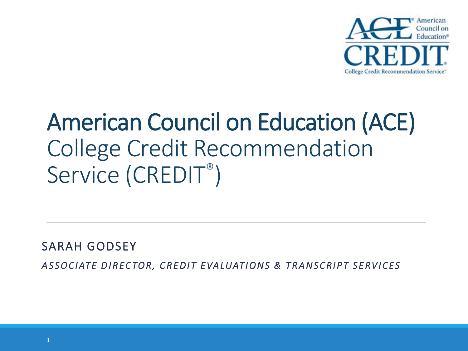

#### American Council on Education (ACE) College Credit Recommendation Service (CREDIT®)

SARAH GODSEY

ASSOCIATE DIRECTOR, CREDIT EVALUATIONS & TRANSCRIPT SERVICES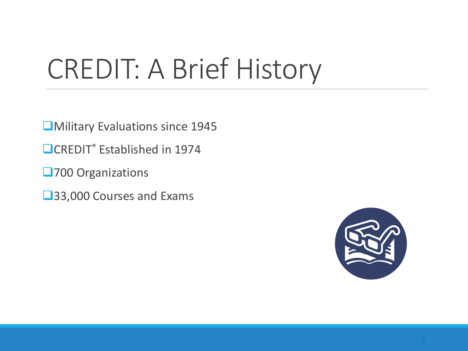#### CREDIT: A Brief History

**OMilitary Evaluations since 1945** 

**OCREDIT<sup>®</sup>** Established in 1974

**□700 Organizations** 

■33,000 Courses and Exams

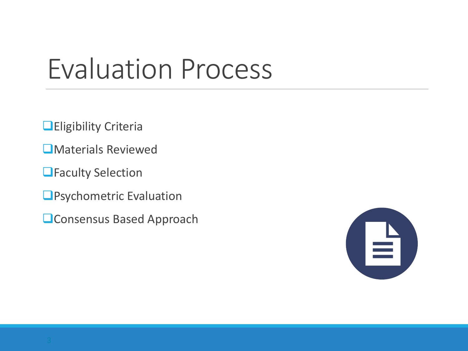#### Evaluation Process

**QEligibility Criteria** 

**U**Materials Reviewed

**OFaculty Selection** 

**O**Psychometric Evaluation

**QConsensus Based Approach** 

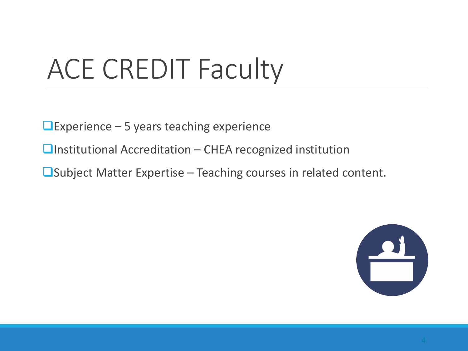#### ACE CREDIT Faculty

 $\Box$  Experience – 5 years teaching experience

 $\Box$ Institutional Accreditation – CHEA recognized institution

 $\square$  Subject Matter Expertise – Teaching courses in related content.

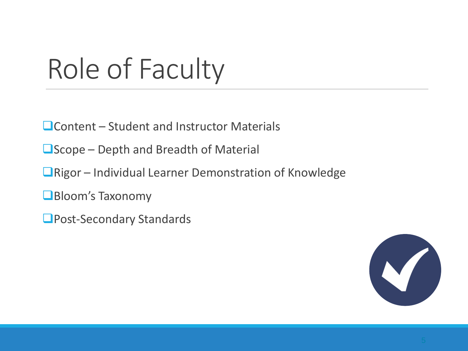## Role of Faculty

Content – Student and Instructor Materials

 $\Box$  Scope – Depth and Breadth of Material

■Rigor – Individual Learner Demonstration of Knowledge

Bloom's Taxonomy

**O**Post-Secondary Standards

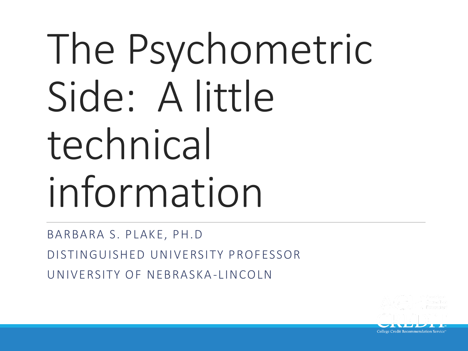# The Psychometric Side: A little technical information

BARBARA S. PLAKE, PH.D DISTINGUISHED UNIVERSITY PROFESSOR UNIVERSITY OF NEBRASKA-LINCOLN

**College Credit Recommendation Service**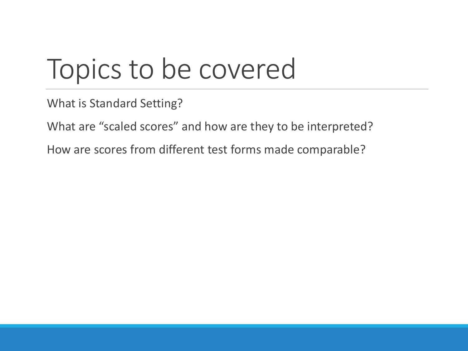#### Topics to be covered

What is Standard Setting?

What are "scaled scores" and how are they to be interpreted?

How are scores from different test forms made comparable?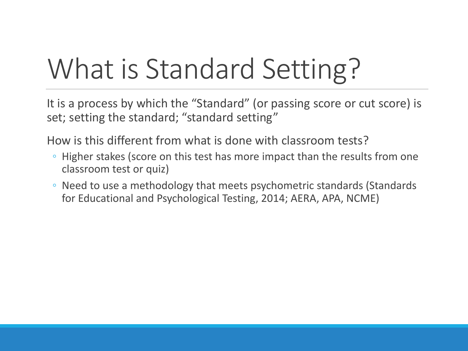# What is Standard Setting?

It is a process by which the "Standard" (or passing score or cut score) is set; setting the standard; "standard setting"

How is this different from what is done with classroom tests?

- Higher stakes (score on this test has more impact than the results from one classroom test or quiz)
- Need to use a methodology that meets psychometric standards (Standards for Educational and Psychological Testing, 2014; AERA, APA, NCME)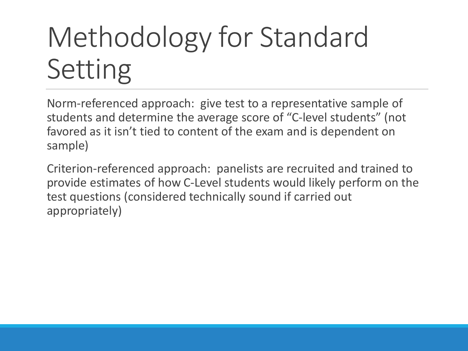## Methodology for Standard Setting

Norm-referenced approach: give test to a representative sample of students and determine the average score of "C-level students" (not favored as it isn't tied to content of the exam and is dependent on sample)

Criterion-referenced approach: panelists are recruited and trained to provide estimates of how C-Level students would likely perform on the test questions (considered technically sound if carried out appropriately)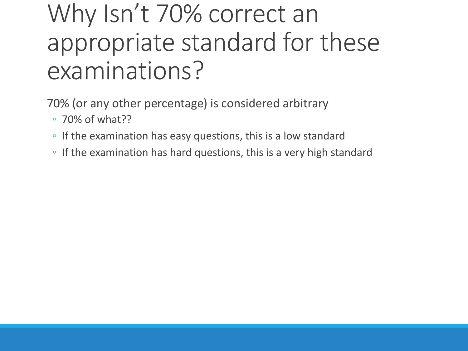#### Why Isn't 70% correct an appropriate standard for these examinations?

70% (or any other percentage) is considered arbitrary

- 70% of what??
- If the examination has easy questions, this is a low standard
- If the examination has hard questions, this is a very high standard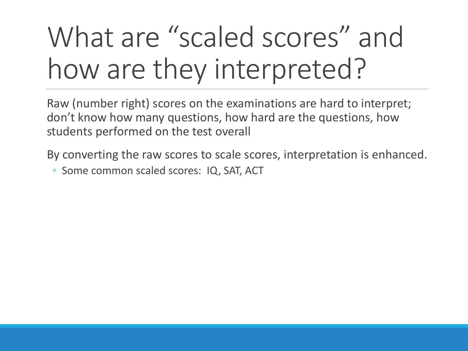## What are "scaled scores" and how are they interpreted?

Raw (number right) scores on the examinations are hard to interpret; don't know how many questions, how hard are the questions, how students performed on the test overall

By converting the raw scores to scale scores, interpretation is enhanced.

◦ Some common scaled scores: IQ, SAT, ACT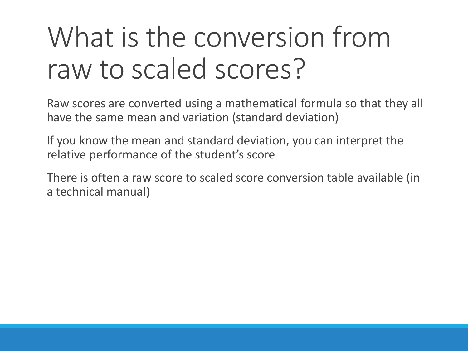#### What is the conversion from raw to scaled scores?

Raw scores are converted using a mathematical formula so that they all have the same mean and variation (standard deviation)

If you know the mean and standard deviation, you can interpret the relative performance of the student's score

There is often a raw score to scaled score conversion table available (in a technical manual)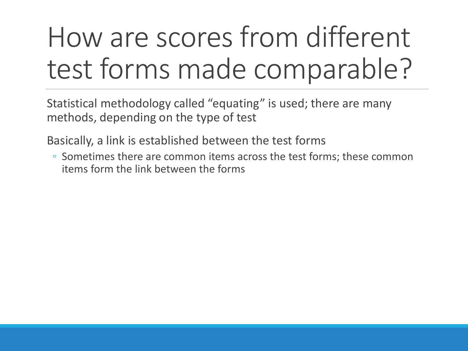## How are scores from different test forms made comparable?

Statistical methodology called "equating" is used; there are many methods, depending on the type of test

Basically, a link is established between the test forms

◦ Sometimes there are common items across the test forms; these common items form the link between the forms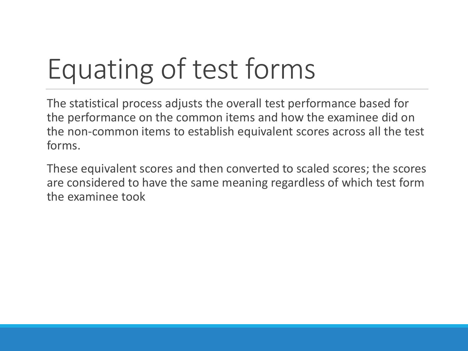# Equating of test forms

The statistical process adjusts the overall test performance based for the performance on the common items and how the examinee did on the non-common items to establish equivalent scores across all the test forms.

These equivalent scores and then converted to scaled scores; the scores are considered to have the same meaning regardless of which test form the examinee took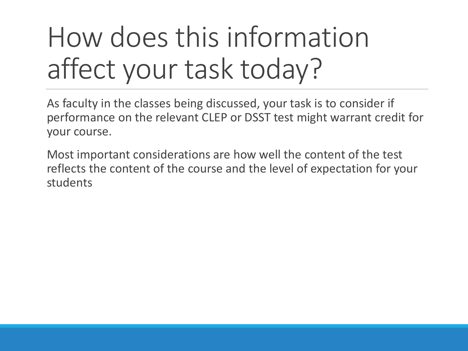## How does this information affect your task today?

As faculty in the classes being discussed, your task is to consider if performance on the relevant CLEP or DSST test might warrant credit for your course.

Most important considerations are how well the content of the test reflects the content of the course and the level of expectation for your students